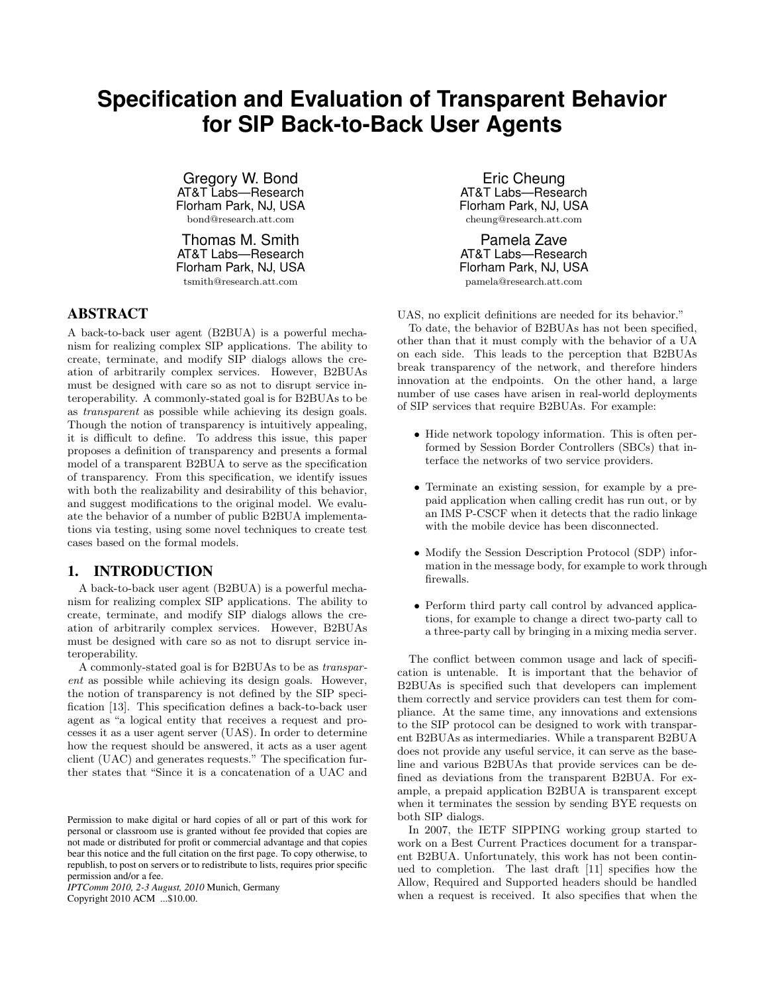# **Specification and Evaluation of Transparent Behavior for SIP Back-to-Back User Agents**

Gregory W. Bond AT&T Labs—Research Florham Park, NJ, USA bond@research.att.com

Thomas M. Smith AT&T Labs—Research Florham Park, NJ, USA tsmith@research.att.com

# ABSTRACT

A back-to-back user agent (B2BUA) is a powerful mechanism for realizing complex SIP applications. The ability to create, terminate, and modify SIP dialogs allows the creation of arbitrarily complex services. However, B2BUAs must be designed with care so as not to disrupt service interoperability. A commonly-stated goal is for B2BUAs to be as transparent as possible while achieving its design goals. Though the notion of transparency is intuitively appealing, it is difficult to define. To address this issue, this paper proposes a definition of transparency and presents a formal model of a transparent B2BUA to serve as the specification of transparency. From this specification, we identify issues with both the realizability and desirability of this behavior, and suggest modifications to the original model. We evaluate the behavior of a number of public B2BUA implementations via testing, using some novel techniques to create test cases based on the formal models.

# 1. INTRODUCTION

A back-to-back user agent (B2BUA) is a powerful mechanism for realizing complex SIP applications. The ability to create, terminate, and modify SIP dialogs allows the creation of arbitrarily complex services. However, B2BUAs must be designed with care so as not to disrupt service interoperability.

A commonly-stated goal is for B2BUAs to be as transparent as possible while achieving its design goals. However, the notion of transparency is not defined by the SIP specification [13]. This specification defines a back-to-back user agent as "a logical entity that receives a request and processes it as a user agent server (UAS). In order to determine how the request should be answered, it acts as a user agent client (UAC) and generates requests." The specification further states that "Since it is a concatenation of a UAC and

*IPTComm 2010, 2-3 August, 2010* Munich, Germany Copyright 2010 ACM ...\$10.00.

Eric Cheung AT&T Labs-Research Florham Park, NJ, USA cheung@research.att.com

Pamela Zave AT&T Labs—Research Florham Park, NJ, USA pamela@research.att.com

UAS, no explicit definitions are needed for its behavior."

To date, the behavior of B2BUAs has not been specified, other than that it must comply with the behavior of a UA on each side. This leads to the perception that B2BUAs break transparency of the network, and therefore hinders innovation at the endpoints. On the other hand, a large number of use cases have arisen in real-world deployments of SIP services that require B2BUAs. For example:

- Hide network topology information. This is often performed by Session Border Controllers (SBCs) that interface the networks of two service providers.
- Terminate an existing session, for example by a prepaid application when calling credit has run out, or by an IMS P-CSCF when it detects that the radio linkage with the mobile device has been disconnected.
- Modify the Session Description Protocol (SDP) information in the message body, for example to work through firewalls.
- Perform third party call control by advanced applications, for example to change a direct two-party call to a three-party call by bringing in a mixing media server.

The conflict between common usage and lack of specification is untenable. It is important that the behavior of B2BUAs is specified such that developers can implement them correctly and service providers can test them for compliance. At the same time, any innovations and extensions to the SIP protocol can be designed to work with transparent B2BUAs as intermediaries. While a transparent B2BUA does not provide any useful service, it can serve as the baseline and various B2BUAs that provide services can be defined as deviations from the transparent B2BUA. For example, a prepaid application B2BUA is transparent except when it terminates the session by sending BYE requests on both SIP dialogs.

In 2007, the IETF SIPPING working group started to work on a Best Current Practices document for a transparent B2BUA. Unfortunately, this work has not been continued to completion. The last draft [11] specifies how the Allow, Required and Supported headers should be handled when a request is received. It also specifies that when the

Permission to make digital or hard copies of all or part of this work for personal or classroom use is granted without fee provided that copies are not made or distributed for profit or commercial advantage and that copies bear this notice and the full citation on the first page. To copy otherwise, to republish, to post on servers or to redistribute to lists, requires prior specific permission and/or a fee.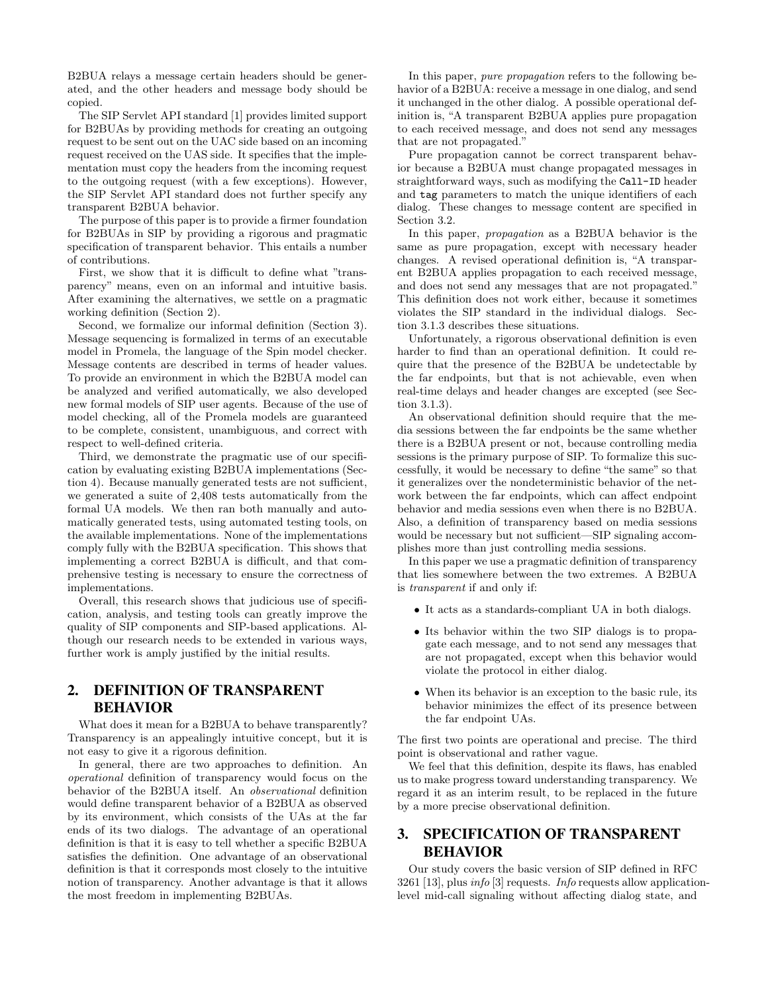B2BUA relays a message certain headers should be generated, and the other headers and message body should be copied.

The SIP Servlet API standard [1] provides limited support for B2BUAs by providing methods for creating an outgoing request to be sent out on the UAC side based on an incoming request received on the UAS side. It specifies that the implementation must copy the headers from the incoming request to the outgoing request (with a few exceptions). However, the SIP Servlet API standard does not further specify any transparent B2BUA behavior.

The purpose of this paper is to provide a firmer foundation for B2BUAs in SIP by providing a rigorous and pragmatic specification of transparent behavior. This entails a number of contributions.

First, we show that it is difficult to define what "transparency" means, even on an informal and intuitive basis. After examining the alternatives, we settle on a pragmatic working definition (Section 2).

Second, we formalize our informal definition (Section 3). Message sequencing is formalized in terms of an executable model in Promela, the language of the Spin model checker. Message contents are described in terms of header values. To provide an environment in which the B2BUA model can be analyzed and verified automatically, we also developed new formal models of SIP user agents. Because of the use of model checking, all of the Promela models are guaranteed to be complete, consistent, unambiguous, and correct with respect to well-defined criteria.

Third, we demonstrate the pragmatic use of our specification by evaluating existing B2BUA implementations (Section 4). Because manually generated tests are not sufficient, we generated a suite of 2,408 tests automatically from the formal UA models. We then ran both manually and automatically generated tests, using automated testing tools, on the available implementations. None of the implementations comply fully with the B2BUA specification. This shows that implementing a correct B2BUA is difficult, and that comprehensive testing is necessary to ensure the correctness of implementations.

Overall, this research shows that judicious use of specification, analysis, and testing tools can greatly improve the quality of SIP components and SIP-based applications. Although our research needs to be extended in various ways, further work is amply justified by the initial results.

# 2. DEFINITION OF TRANSPARENT BEHAVIOR

What does it mean for a B2BUA to behave transparently? Transparency is an appealingly intuitive concept, but it is not easy to give it a rigorous definition.

In general, there are two approaches to definition. An operational definition of transparency would focus on the behavior of the B2BUA itself. An observational definition would define transparent behavior of a B2BUA as observed by its environment, which consists of the UAs at the far ends of its two dialogs. The advantage of an operational definition is that it is easy to tell whether a specific B2BUA satisfies the definition. One advantage of an observational definition is that it corresponds most closely to the intuitive notion of transparency. Another advantage is that it allows the most freedom in implementing B2BUAs.

In this paper, *pure propagation* refers to the following behavior of a B2BUA: receive a message in one dialog, and send it unchanged in the other dialog. A possible operational definition is, "A transparent B2BUA applies pure propagation to each received message, and does not send any messages that are not propagated."

Pure propagation cannot be correct transparent behavior because a B2BUA must change propagated messages in straightforward ways, such as modifying the Call-ID header and tag parameters to match the unique identifiers of each dialog. These changes to message content are specified in Section 3.2.

In this paper, propagation as a B2BUA behavior is the same as pure propagation, except with necessary header changes. A revised operational definition is, "A transparent B2BUA applies propagation to each received message, and does not send any messages that are not propagated." This definition does not work either, because it sometimes violates the SIP standard in the individual dialogs. Section 3.1.3 describes these situations.

Unfortunately, a rigorous observational definition is even harder to find than an operational definition. It could require that the presence of the B2BUA be undetectable by the far endpoints, but that is not achievable, even when real-time delays and header changes are excepted (see Section 3.1.3).

An observational definition should require that the media sessions between the far endpoints be the same whether there is a B2BUA present or not, because controlling media sessions is the primary purpose of SIP. To formalize this successfully, it would be necessary to define "the same" so that it generalizes over the nondeterministic behavior of the network between the far endpoints, which can affect endpoint behavior and media sessions even when there is no B2BUA. Also, a definition of transparency based on media sessions would be necessary but not sufficient—SIP signaling accomplishes more than just controlling media sessions.

In this paper we use a pragmatic definition of transparency that lies somewhere between the two extremes. A B2BUA is transparent if and only if:

- It acts as a standards-compliant UA in both dialogs.
- Its behavior within the two SIP dialogs is to propagate each message, and to not send any messages that are not propagated, except when this behavior would violate the protocol in either dialog.
- When its behavior is an exception to the basic rule, its behavior minimizes the effect of its presence between the far endpoint UAs.

The first two points are operational and precise. The third point is observational and rather vague.

We feel that this definition, despite its flaws, has enabled us to make progress toward understanding transparency. We regard it as an interim result, to be replaced in the future by a more precise observational definition.

# 3. SPECIFICATION OF TRANSPARENT BEHAVIOR

Our study covers the basic version of SIP defined in RFC 3261 [13], plus info [3] requests. Info requests allow applicationlevel mid-call signaling without affecting dialog state, and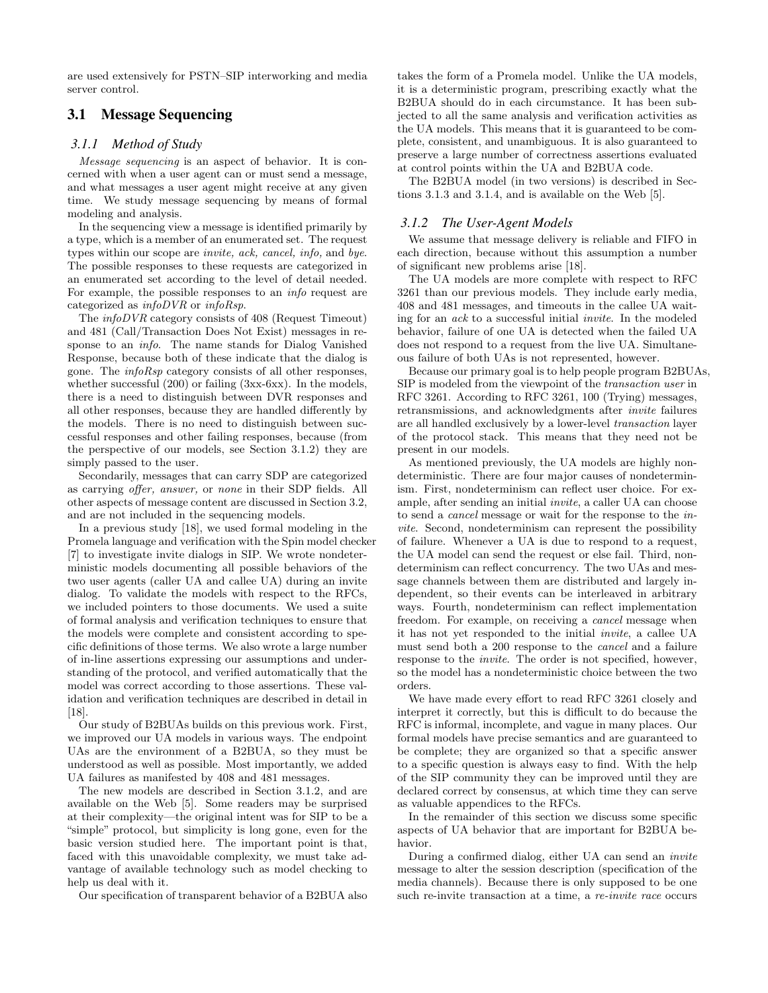are used extensively for PSTN–SIP interworking and media server control.

# 3.1 Message Sequencing

### *3.1.1 Method of Study*

Message sequencing is an aspect of behavior. It is concerned with when a user agent can or must send a message, and what messages a user agent might receive at any given time. We study message sequencing by means of formal modeling and analysis.

In the sequencing view a message is identified primarily by a type, which is a member of an enumerated set. The request types within our scope are invite, ack, cancel, info, and bye. The possible responses to these requests are categorized in an enumerated set according to the level of detail needed. For example, the possible responses to an info request are categorized as infoDVR or infoRsp.

The infoDVR category consists of 408 (Request Timeout) and 481 (Call/Transaction Does Not Exist) messages in response to an info. The name stands for Dialog Vanished Response, because both of these indicate that the dialog is gone. The infoRsp category consists of all other responses, whether successful (200) or failing (3xx-6xx). In the models, there is a need to distinguish between DVR responses and all other responses, because they are handled differently by the models. There is no need to distinguish between successful responses and other failing responses, because (from the perspective of our models, see Section 3.1.2) they are simply passed to the user.

Secondarily, messages that can carry SDP are categorized as carrying offer, answer, or none in their SDP fields. All other aspects of message content are discussed in Section 3.2, and are not included in the sequencing models.

In a previous study [18], we used formal modeling in the Promela language and verification with the Spin model checker [7] to investigate invite dialogs in SIP. We wrote nondeterministic models documenting all possible behaviors of the two user agents (caller UA and callee UA) during an invite dialog. To validate the models with respect to the RFCs, we included pointers to those documents. We used a suite of formal analysis and verification techniques to ensure that the models were complete and consistent according to specific definitions of those terms. We also wrote a large number of in-line assertions expressing our assumptions and understanding of the protocol, and verified automatically that the model was correct according to those assertions. These validation and verification techniques are described in detail in [18].

Our study of B2BUAs builds on this previous work. First, we improved our UA models in various ways. The endpoint UAs are the environment of a B2BUA, so they must be understood as well as possible. Most importantly, we added UA failures as manifested by 408 and 481 messages.

The new models are described in Section 3.1.2, and are available on the Web [5]. Some readers may be surprised at their complexity—the original intent was for SIP to be a "simple" protocol, but simplicity is long gone, even for the basic version studied here. The important point is that, faced with this unavoidable complexity, we must take advantage of available technology such as model checking to help us deal with it.

Our specification of transparent behavior of a B2BUA also

takes the form of a Promela model. Unlike the UA models, it is a deterministic program, prescribing exactly what the B2BUA should do in each circumstance. It has been subjected to all the same analysis and verification activities as the UA models. This means that it is guaranteed to be complete, consistent, and unambiguous. It is also guaranteed to preserve a large number of correctness assertions evaluated at control points within the UA and B2BUA code.

The B2BUA model (in two versions) is described in Sections 3.1.3 and 3.1.4, and is available on the Web [5].

#### *3.1.2 The User-Agent Models*

We assume that message delivery is reliable and FIFO in each direction, because without this assumption a number of significant new problems arise [18].

The UA models are more complete with respect to RFC 3261 than our previous models. They include early media, 408 and 481 messages, and timeouts in the callee UA waiting for an ack to a successful initial invite. In the modeled behavior, failure of one UA is detected when the failed UA does not respond to a request from the live UA. Simultaneous failure of both UAs is not represented, however.

Because our primary goal is to help people program B2BUAs, SIP is modeled from the viewpoint of the transaction user in RFC 3261. According to RFC 3261, 100 (Trying) messages, retransmissions, and acknowledgments after invite failures are all handled exclusively by a lower-level transaction layer of the protocol stack. This means that they need not be present in our models.

As mentioned previously, the UA models are highly nondeterministic. There are four major causes of nondeterminism. First, nondeterminism can reflect user choice. For example, after sending an initial invite, a caller UA can choose to send a cancel message or wait for the response to the invite. Second, nondeterminism can represent the possibility of failure. Whenever a UA is due to respond to a request, the UA model can send the request or else fail. Third, nondeterminism can reflect concurrency. The two UAs and message channels between them are distributed and largely independent, so their events can be interleaved in arbitrary ways. Fourth, nondeterminism can reflect implementation freedom. For example, on receiving a cancel message when it has not yet responded to the initial invite, a callee UA must send both a 200 response to the cancel and a failure response to the invite. The order is not specified, however, so the model has a nondeterministic choice between the two orders.

We have made every effort to read RFC 3261 closely and interpret it correctly, but this is difficult to do because the RFC is informal, incomplete, and vague in many places. Our formal models have precise semantics and are guaranteed to be complete; they are organized so that a specific answer to a specific question is always easy to find. With the help of the SIP community they can be improved until they are declared correct by consensus, at which time they can serve as valuable appendices to the RFCs.

In the remainder of this section we discuss some specific aspects of UA behavior that are important for B2BUA behavior.

During a confirmed dialog, either UA can send an invite message to alter the session description (specification of the media channels). Because there is only supposed to be one such re-invite transaction at a time, a re-invite race occurs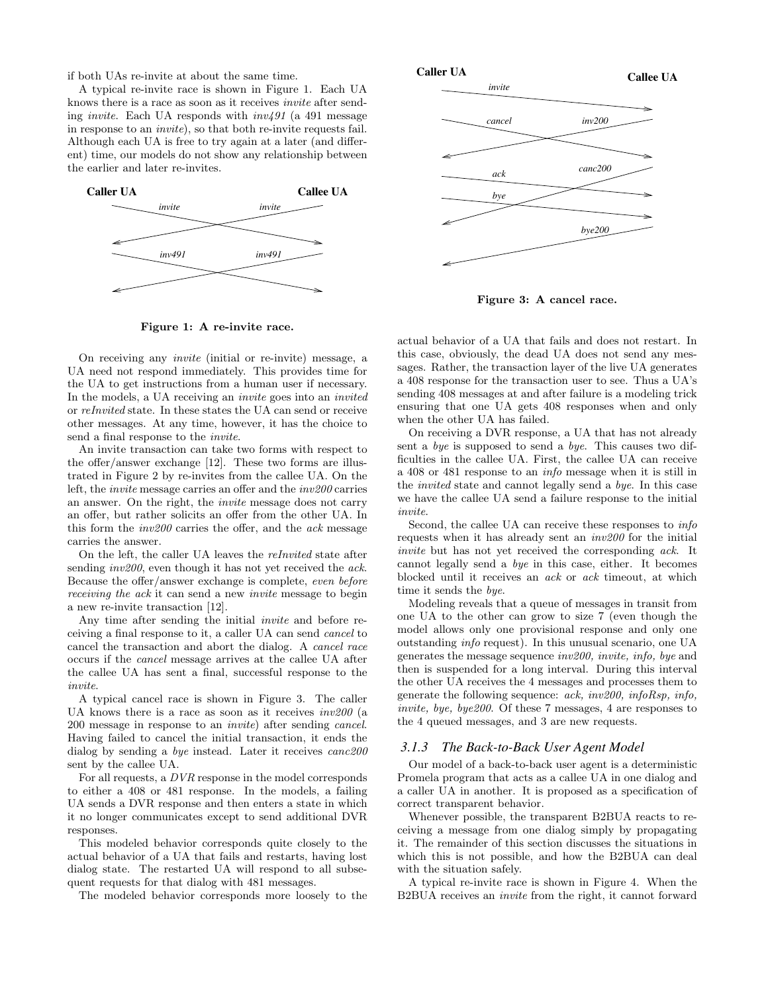if both UAs re-invite at about the same time.

A typical re-invite race is shown in Figure 1. Each UA knows there is a race as soon as it receives invite after sending *invite*. Each UA responds with  $inv491$  (a 491 message in response to an invite), so that both re-invite requests fail. Although each UA is free to try again at a later (and different) time, our models do not show any relationship between the earlier and later re-invites.



Figure 1: A re-invite race.

On receiving any invite (initial or re-invite) message, a UA need not respond immediately. This provides time for the UA to get instructions from a human user if necessary. In the models, a UA receiving an *invite* goes into an *invited* or reInvited state. In these states the UA can send or receive other messages. At any time, however, it has the choice to send a final response to the invite.

An invite transaction can take two forms with respect to the offer/answer exchange [12]. These two forms are illustrated in Figure 2 by re-invites from the callee UA. On the left, the invite message carries an offer and the inv200 carries an answer. On the right, the invite message does not carry an offer, but rather solicits an offer from the other UA. In this form the inv200 carries the offer, and the ack message carries the answer.

On the left, the caller UA leaves the reInvited state after sending *inv200*, even though it has not yet received the *ack*. Because the offer/answer exchange is complete, even before receiving the ack it can send a new invite message to begin a new re-invite transaction [12].

Any time after sending the initial invite and before receiving a final response to it, a caller UA can send cancel to cancel the transaction and abort the dialog. A cancel race occurs if the cancel message arrives at the callee UA after the callee UA has sent a final, successful response to the invite.

A typical cancel race is shown in Figure 3. The caller UA knows there is a race as soon as it receives inv200 (a 200 message in response to an invite) after sending cancel. Having failed to cancel the initial transaction, it ends the dialog by sending a *bye* instead. Later it receives *canc200* sent by the callee UA.

For all requests, a DVR response in the model corresponds to either a 408 or 481 response. In the models, a failing UA sends a DVR response and then enters a state in which it no longer communicates except to send additional DVR responses.

This modeled behavior corresponds quite closely to the actual behavior of a UA that fails and restarts, having lost dialog state. The restarted UA will respond to all subsequent requests for that dialog with 481 messages.

The modeled behavior corresponds more loosely to the



Figure 3: A cancel race.

actual behavior of a UA that fails and does not restart. In this case, obviously, the dead UA does not send any messages. Rather, the transaction layer of the live UA generates a 408 response for the transaction user to see. Thus a UA's sending 408 messages at and after failure is a modeling trick ensuring that one UA gets 408 responses when and only when the other UA has failed.

On receiving a DVR response, a UA that has not already sent a bye is supposed to send a bye. This causes two difficulties in the callee UA. First, the callee UA can receive a 408 or 481 response to an info message when it is still in the invited state and cannot legally send a bye. In this case we have the callee UA send a failure response to the initial invite.

Second, the callee UA can receive these responses to *info* requests when it has already sent an inv200 for the initial invite but has not yet received the corresponding ack. It cannot legally send a bye in this case, either. It becomes blocked until it receives an ack or ack timeout, at which time it sends the bye.

Modeling reveals that a queue of messages in transit from one UA to the other can grow to size 7 (even though the model allows only one provisional response and only one outstanding info request). In this unusual scenario, one UA generates the message sequence inv200, invite, info, bye and then is suspended for a long interval. During this interval the other UA receives the 4 messages and processes them to generate the following sequence:  $ack, inv200, infoRsp, info,$ invite, bye, bye200. Of these 7 messages, 4 are responses to the 4 queued messages, and 3 are new requests.

#### *3.1.3 The Back-to-Back User Agent Model*

Our model of a back-to-back user agent is a deterministic Promela program that acts as a callee UA in one dialog and a caller UA in another. It is proposed as a specification of correct transparent behavior.

Whenever possible, the transparent B2BUA reacts to receiving a message from one dialog simply by propagating it. The remainder of this section discusses the situations in which this is not possible, and how the B2BUA can deal with the situation safely.

A typical re-invite race is shown in Figure 4. When the B2BUA receives an invite from the right, it cannot forward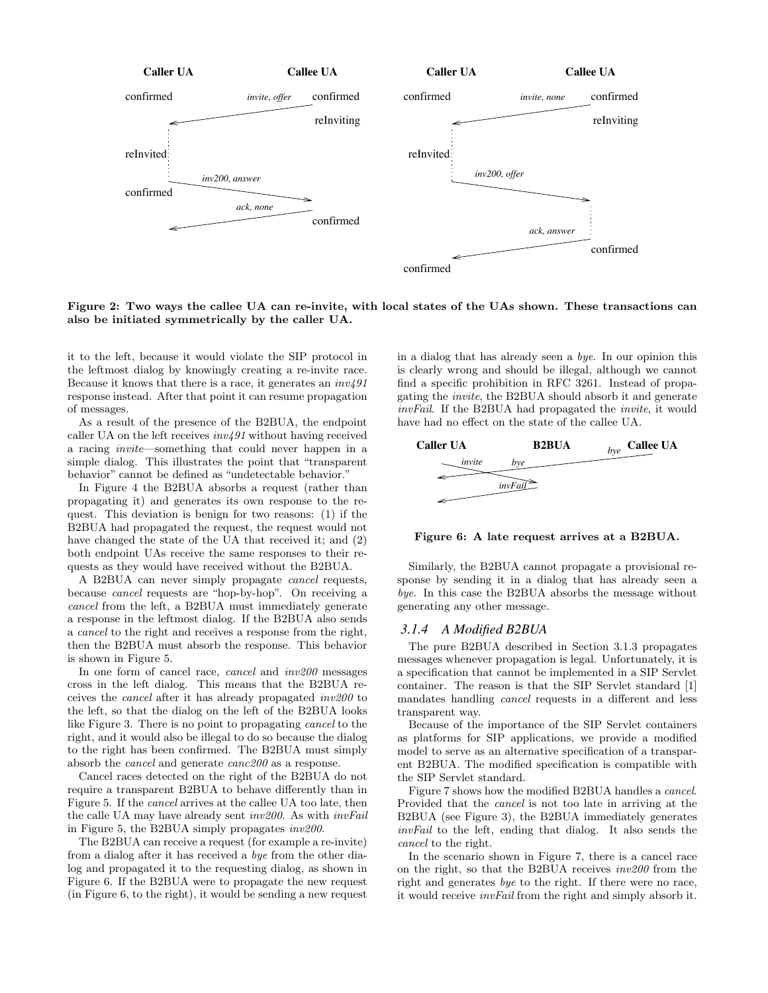

Figure 2: Two ways the callee UA can re-invite, with local states of the UAs shown. These transactions can also be initiated symmetrically by the caller UA.

it to the left, because it would violate the SIP protocol in the leftmost dialog by knowingly creating a re-invite race. Because it knows that there is a race, it generates an  $inv491$ response instead. After that point it can resume propagation of messages.

As a result of the presence of the B2BUA, the endpoint caller UA on the left receives  $inv491$  without having received a racing invite—something that could never happen in a simple dialog. This illustrates the point that "transparent behavior" cannot be defined as "undetectable behavior."

In Figure 4 the B2BUA absorbs a request (rather than propagating it) and generates its own response to the request. This deviation is benign for two reasons: (1) if the B2BUA had propagated the request, the request would not have changed the state of the UA that received it; and (2) both endpoint UAs receive the same responses to their requests as they would have received without the B2BUA.

A B2BUA can never simply propagate cancel requests, because cancel requests are "hop-by-hop". On receiving a cancel from the left, a B2BUA must immediately generate a response in the leftmost dialog. If the B2BUA also sends a cancel to the right and receives a response from the right, then the B2BUA must absorb the response. This behavior is shown in Figure 5.

In one form of cancel race, cancel and inv200 messages cross in the left dialog. This means that the B2BUA receives the cancel after it has already propagated inv200 to the left, so that the dialog on the left of the B2BUA looks like Figure 3. There is no point to propagating cancel to the right, and it would also be illegal to do so because the dialog to the right has been confirmed. The B2BUA must simply absorb the cancel and generate canc200 as a response.

Cancel races detected on the right of the B2BUA do not require a transparent B2BUA to behave differently than in Figure 5. If the cancel arrives at the callee UA too late, then the calle UA may have already sent inv200. As with invFail in Figure 5, the B2BUA simply propagates inv200.

The B2BUA can receive a request (for example a re-invite) from a dialog after it has received a bye from the other dialog and propagated it to the requesting dialog, as shown in Figure 6. If the B2BUA were to propagate the new request (in Figure 6, to the right), it would be sending a new request

in a dialog that has already seen a bye. In our opinion this is clearly wrong and should be illegal, although we cannot find a specific prohibition in RFC 3261. Instead of propagating the invite, the B2BUA should absorb it and generate invFail. If the B2BUA had propagated the invite, it would have had no effect on the state of the callee UA.



Figure 6: A late request arrives at a B2BUA.

Similarly, the B2BUA cannot propagate a provisional response by sending it in a dialog that has already seen a bye. In this case the B2BUA absorbs the message without generating any other message.

#### *3.1.4 A Modified B2BUA*

The pure B2BUA described in Section 3.1.3 propagates messages whenever propagation is legal. Unfortunately, it is a specification that cannot be implemented in a SIP Servlet container. The reason is that the SIP Servlet standard [1] mandates handling cancel requests in a different and less transparent way.

Because of the importance of the SIP Servlet containers as platforms for SIP applications, we provide a modified model to serve as an alternative specification of a transparent B2BUA. The modified specification is compatible with the SIP Servlet standard.

Figure 7 shows how the modified B2BUA handles a cancel. Provided that the cancel is not too late in arriving at the B2BUA (see Figure 3), the B2BUA immediately generates invFail to the left, ending that dialog. It also sends the cancel to the right.

In the scenario shown in Figure 7, there is a cancel race on the right, so that the B2BUA receives inv200 from the right and generates bye to the right. If there were no race, it would receive invFail from the right and simply absorb it.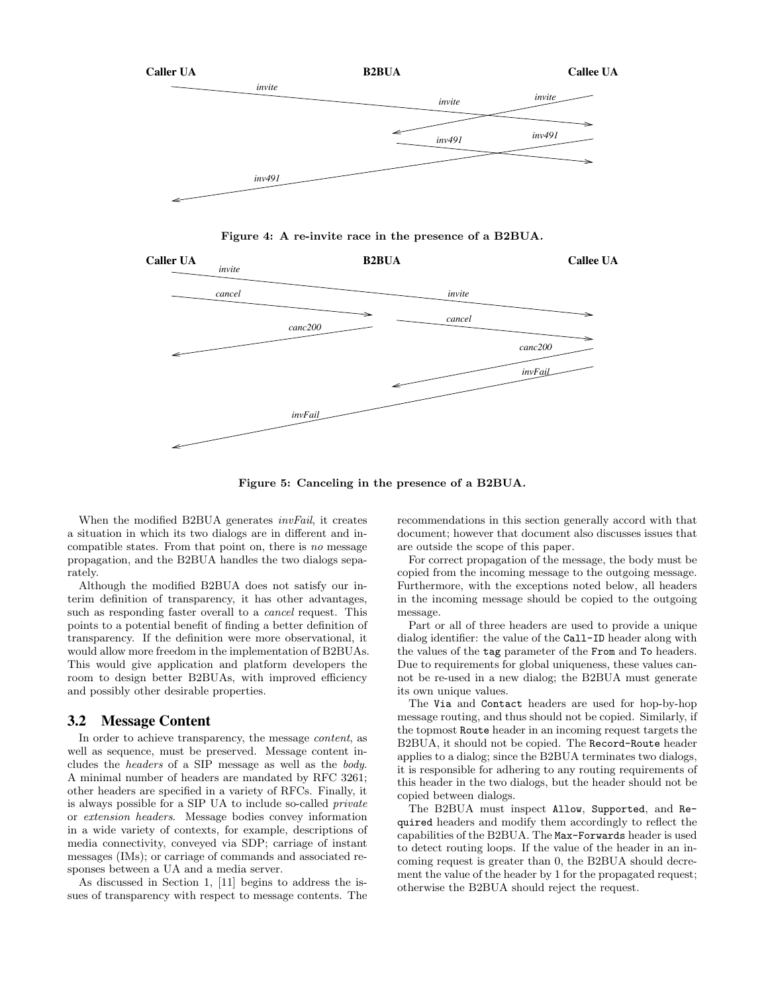

Figure 4: A re-invite race in the presence of a B2BUA.



Figure 5: Canceling in the presence of a B2BUA.

When the modified B2BUA generates *invFail*, it creates a situation in which its two dialogs are in different and incompatible states. From that point on, there is no message propagation, and the B2BUA handles the two dialogs separately.

Although the modified B2BUA does not satisfy our interim definition of transparency, it has other advantages, such as responding faster overall to a cancel request. This points to a potential benefit of finding a better definition of transparency. If the definition were more observational, it would allow more freedom in the implementation of B2BUAs. This would give application and platform developers the room to design better B2BUAs, with improved efficiency and possibly other desirable properties.

## 3.2 Message Content

In order to achieve transparency, the message content, as well as sequence, must be preserved. Message content includes the headers of a SIP message as well as the body. A minimal number of headers are mandated by RFC 3261; other headers are specified in a variety of RFCs. Finally, it is always possible for a SIP UA to include so-called private or extension headers. Message bodies convey information in a wide variety of contexts, for example, descriptions of media connectivity, conveyed via SDP; carriage of instant messages (IMs); or carriage of commands and associated responses between a UA and a media server.

As discussed in Section 1, [11] begins to address the issues of transparency with respect to message contents. The recommendations in this section generally accord with that document; however that document also discusses issues that are outside the scope of this paper.

For correct propagation of the message, the body must be copied from the incoming message to the outgoing message. Furthermore, with the exceptions noted below, all headers in the incoming message should be copied to the outgoing message.

Part or all of three headers are used to provide a unique dialog identifier: the value of the Call-ID header along with the values of the tag parameter of the From and To headers. Due to requirements for global uniqueness, these values cannot be re-used in a new dialog; the B2BUA must generate its own unique values.

The Via and Contact headers are used for hop-by-hop message routing, and thus should not be copied. Similarly, if the topmost Route header in an incoming request targets the B2BUA, it should not be copied. The Record-Route header applies to a dialog; since the B2BUA terminates two dialogs, it is responsible for adhering to any routing requirements of this header in the two dialogs, but the header should not be copied between dialogs.

The B2BUA must inspect Allow, Supported, and Required headers and modify them accordingly to reflect the capabilities of the B2BUA. The Max-Forwards header is used to detect routing loops. If the value of the header in an incoming request is greater than 0, the B2BUA should decrement the value of the header by 1 for the propagated request; otherwise the B2BUA should reject the request.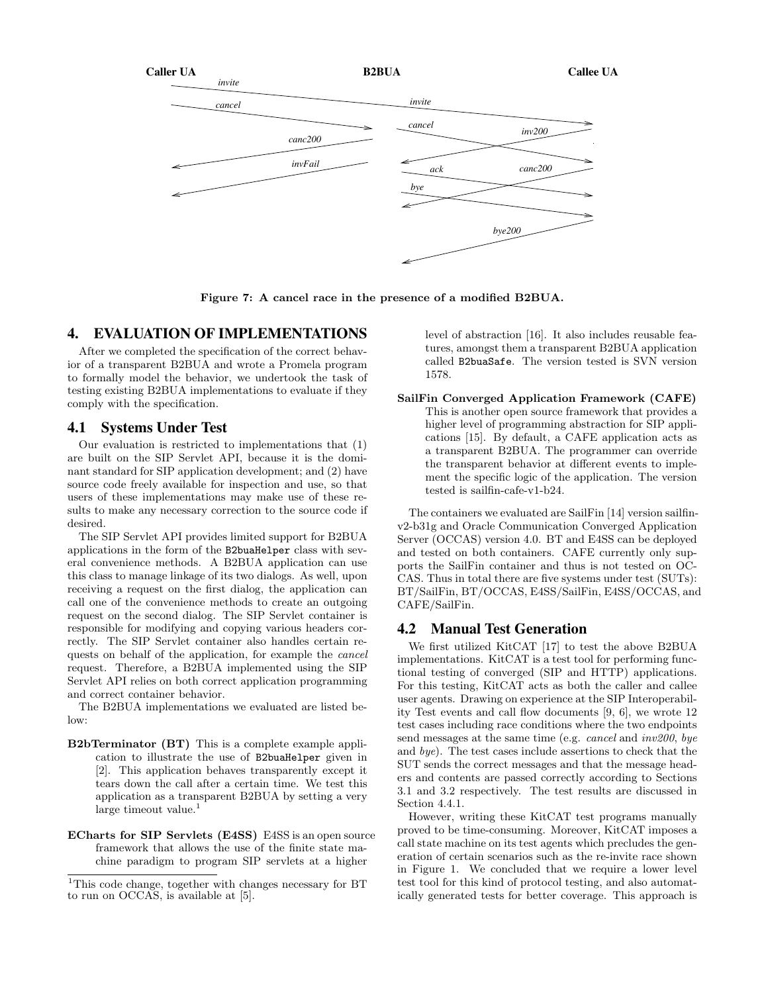

Figure 7: A cancel race in the presence of a modified B2BUA.

# 4. EVALUATION OF IMPLEMENTATIONS

After we completed the specification of the correct behavior of a transparent B2BUA and wrote a Promela program to formally model the behavior, we undertook the task of testing existing B2BUA implementations to evaluate if they comply with the specification.

#### 4.1 Systems Under Test

Our evaluation is restricted to implementations that (1) are built on the SIP Servlet API, because it is the dominant standard for SIP application development; and (2) have source code freely available for inspection and use, so that users of these implementations may make use of these results to make any necessary correction to the source code if desired.

The SIP Servlet API provides limited support for B2BUA applications in the form of the B2buaHelper class with several convenience methods. A B2BUA application can use this class to manage linkage of its two dialogs. As well, upon receiving a request on the first dialog, the application can call one of the convenience methods to create an outgoing request on the second dialog. The SIP Servlet container is responsible for modifying and copying various headers correctly. The SIP Servlet container also handles certain requests on behalf of the application, for example the cancel request. Therefore, a B2BUA implemented using the SIP Servlet API relies on both correct application programming and correct container behavior.

The B2BUA implementations we evaluated are listed below:

- B2bTerminator (BT) This is a complete example application to illustrate the use of B2buaHelper given in [2]. This application behaves transparently except it tears down the call after a certain time. We test this application as a transparent B2BUA by setting a very  $\lceil \text{large timeout value} \rceil$
- ECharts for SIP Servlets (E4SS) E4SS is an open source framework that allows the use of the finite state machine paradigm to program SIP servlets at a higher

level of abstraction [16]. It also includes reusable features, amongst them a transparent B2BUA application called B2buaSafe. The version tested is SVN version 1578.

SailFin Converged Application Framework (CAFE) This is another open source framework that provides a higher level of programming abstraction for SIP applications [15]. By default, a CAFE application acts as a transparent B2BUA. The programmer can override the transparent behavior at different events to implement the specific logic of the application. The version tested is sailfin-cafe-v1-b24.

The containers we evaluated are SailFin [14] version sailfinv2-b31g and Oracle Communication Converged Application Server (OCCAS) version 4.0. BT and E4SS can be deployed and tested on both containers. CAFE currently only supports the SailFin container and thus is not tested on OC-CAS. Thus in total there are five systems under test (SUTs): BT/SailFin, BT/OCCAS, E4SS/SailFin, E4SS/OCCAS, and CAFE/SailFin.

# 4.2 Manual Test Generation

We first utilized KitCAT [17] to test the above B2BUA implementations. KitCAT is a test tool for performing functional testing of converged (SIP and HTTP) applications. For this testing, KitCAT acts as both the caller and callee user agents. Drawing on experience at the SIP Interoperability Test events and call flow documents [9, 6], we wrote 12 test cases including race conditions where the two endpoints send messages at the same time (e.g. *cancel* and  $inv200$ , bye and bye). The test cases include assertions to check that the SUT sends the correct messages and that the message headers and contents are passed correctly according to Sections 3.1 and 3.2 respectively. The test results are discussed in Section 4.4.1.

However, writing these KitCAT test programs manually proved to be time-consuming. Moreover, KitCAT imposes a call state machine on its test agents which precludes the generation of certain scenarios such as the re-invite race shown in Figure 1. We concluded that we require a lower level test tool for this kind of protocol testing, and also automatically generated tests for better coverage. This approach is

<sup>&</sup>lt;sup>1</sup>This code change, together with changes necessary for BT to run on OCCAS, is available at [5].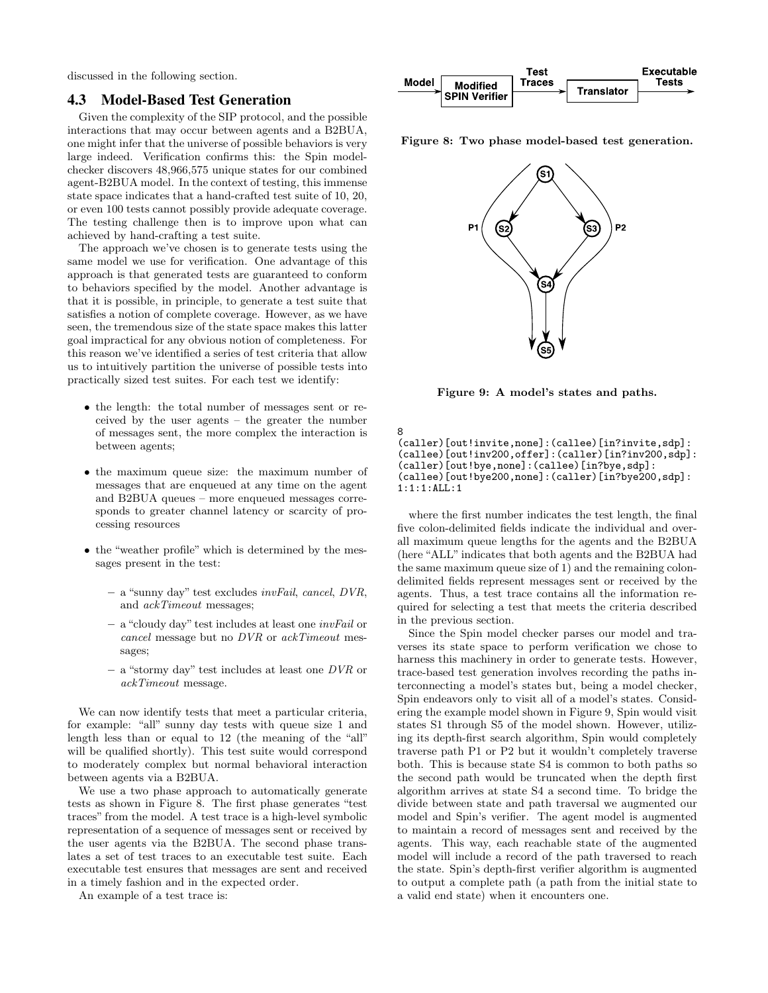discussed in the following section.

# 4.3 Model-Based Test Generation

Given the complexity of the SIP protocol, and the possible interactions that may occur between agents and a B2BUA, one might infer that the universe of possible behaviors is very large indeed. Verification confirms this: the Spin modelchecker discovers 48,966,575 unique states for our combined agent-B2BUA model. In the context of testing, this immense state space indicates that a hand-crafted test suite of 10, 20, or even 100 tests cannot possibly provide adequate coverage. The testing challenge then is to improve upon what can achieved by hand-crafting a test suite.

The approach we've chosen is to generate tests using the same model we use for verification. One advantage of this approach is that generated tests are guaranteed to conform to behaviors specified by the model. Another advantage is that it is possible, in principle, to generate a test suite that satisfies a notion of complete coverage. However, as we have seen, the tremendous size of the state space makes this latter goal impractical for any obvious notion of completeness. For this reason we've identified a series of test criteria that allow us to intuitively partition the universe of possible tests into practically sized test suites. For each test we identify:

- the length: the total number of messages sent or received by the user agents – the greater the number of messages sent, the more complex the interaction is between agents;
- the maximum queue size: the maximum number of messages that are enqueued at any time on the agent and B2BUA queues – more enqueued messages corresponds to greater channel latency or scarcity of processing resources
- the "weather profile" which is determined by the messages present in the test:
	- a "sunny day" test excludes invFail, cancel, DVR, and ackTimeout messages;
	- a "cloudy day" test includes at least one invFail or cancel message but no DVR or ackTimeout messages;
	- $-$  a "stormy day" test includes at least one  $DVR$  or ackTimeout message.

We can now identify tests that meet a particular criteria, for example: "all" sunny day tests with queue size 1 and length less than or equal to 12 (the meaning of the "all" will be qualified shortly). This test suite would correspond to moderately complex but normal behavioral interaction between agents via a B2BUA.

We use a two phase approach to automatically generate tests as shown in Figure 8. The first phase generates "test traces" from the model. A test trace is a high-level symbolic representation of a sequence of messages sent or received by the user agents via the B2BUA. The second phase translates a set of test traces to an executable test suite. Each executable test ensures that messages are sent and received in a timely fashion and in the expected order.

An example of a test trace is:



Figure 8: Two phase model-based test generation.



Figure 9: A model's states and paths.

8 (caller)[out!invite,none]:(callee)[in?invite,sdp]: (callee)[out!inv200,offer]:(caller)[in?inv200,sdp]: (caller)[out!bye,none]:(callee)[in?bye,sdp]: (callee)[out!bye200,none]:(caller)[in?bye200,sdp]: 1:1:1:ALL:1

where the first number indicates the test length, the final five colon-delimited fields indicate the individual and overall maximum queue lengths for the agents and the B2BUA (here "ALL" indicates that both agents and the B2BUA had the same maximum queue size of 1) and the remaining colondelimited fields represent messages sent or received by the agents. Thus, a test trace contains all the information required for selecting a test that meets the criteria described in the previous section.

Since the Spin model checker parses our model and traverses its state space to perform verification we chose to harness this machinery in order to generate tests. However, trace-based test generation involves recording the paths interconnecting a model's states but, being a model checker, Spin endeavors only to visit all of a model's states. Considering the example model shown in Figure 9, Spin would visit states S1 through S5 of the model shown. However, utilizing its depth-first search algorithm, Spin would completely traverse path P1 or P2 but it wouldn't completely traverse both. This is because state S4 is common to both paths so the second path would be truncated when the depth first algorithm arrives at state S4 a second time. To bridge the divide between state and path traversal we augmented our model and Spin's verifier. The agent model is augmented to maintain a record of messages sent and received by the agents. This way, each reachable state of the augmented model will include a record of the path traversed to reach the state. Spin's depth-first verifier algorithm is augmented to output a complete path (a path from the initial state to a valid end state) when it encounters one.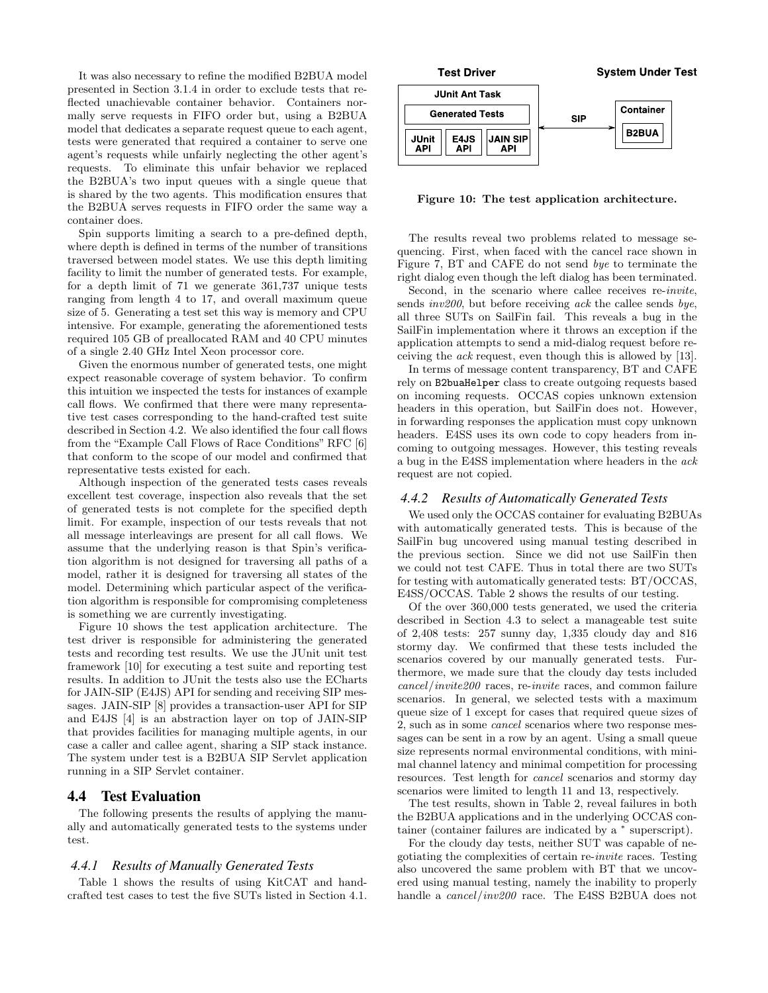It was also necessary to refine the modified B2BUA model presented in Section 3.1.4 in order to exclude tests that reflected unachievable container behavior. Containers normally serve requests in FIFO order but, using a B2BUA model that dedicates a separate request queue to each agent, tests were generated that required a container to serve one agent's requests while unfairly neglecting the other agent's requests. To eliminate this unfair behavior we replaced the B2BUA's two input queues with a single queue that is shared by the two agents. This modification ensures that the B2BUA serves requests in FIFO order the same way a container does.

Spin supports limiting a search to a pre-defined depth, where depth is defined in terms of the number of transitions traversed between model states. We use this depth limiting facility to limit the number of generated tests. For example, for a depth limit of 71 we generate 361,737 unique tests ranging from length 4 to 17, and overall maximum queue size of 5. Generating a test set this way is memory and CPU intensive. For example, generating the aforementioned tests required 105 GB of preallocated RAM and 40 CPU minutes of a single 2.40 GHz Intel Xeon processor core.

Given the enormous number of generated tests, one might expect reasonable coverage of system behavior. To confirm this intuition we inspected the tests for instances of example call flows. We confirmed that there were many representative test cases corresponding to the hand-crafted test suite described in Section 4.2. We also identified the four call flows from the "Example Call Flows of Race Conditions" RFC [6] that conform to the scope of our model and confirmed that representative tests existed for each.

Although inspection of the generated tests cases reveals excellent test coverage, inspection also reveals that the set of generated tests is not complete for the specified depth limit. For example, inspection of our tests reveals that not all message interleavings are present for all call flows. We assume that the underlying reason is that Spin's verification algorithm is not designed for traversing all paths of a model, rather it is designed for traversing all states of the model. Determining which particular aspect of the verification algorithm is responsible for compromising completeness is something we are currently investigating.

Figure 10 shows the test application architecture. The test driver is responsible for administering the generated tests and recording test results. We use the JUnit unit test framework [10] for executing a test suite and reporting test results. In addition to JUnit the tests also use the ECharts for JAIN-SIP (E4JS) API for sending and receiving SIP messages. JAIN-SIP [8] provides a transaction-user API for SIP and E4JS [4] is an abstraction layer on top of JAIN-SIP that provides facilities for managing multiple agents, in our case a caller and callee agent, sharing a SIP stack instance. The system under test is a B2BUA SIP Servlet application running in a SIP Servlet container.

#### 4.4 Test Evaluation

The following presents the results of applying the manually and automatically generated tests to the systems under test.

### *4.4.1 Results of Manually Generated Tests*

Table 1 shows the results of using KitCAT and handcrafted test cases to test the five SUTs listed in Section 4.1.



Figure 10: The test application architecture.

The results reveal two problems related to message sequencing. First, when faced with the cancel race shown in Figure 7, BT and CAFE do not send bye to terminate the right dialog even though the left dialog has been terminated.

Second, in the scenario where callee receives re-invite, sends *inv200*, but before receiving *ack* the callee sends *bye*, all three SUTs on SailFin fail. This reveals a bug in the SailFin implementation where it throws an exception if the application attempts to send a mid-dialog request before receiving the ack request, even though this is allowed by [13].

In terms of message content transparency, BT and CAFE rely on B2buaHelper class to create outgoing requests based on incoming requests. OCCAS copies unknown extension headers in this operation, but SailFin does not. However, in forwarding responses the application must copy unknown headers. E4SS uses its own code to copy headers from incoming to outgoing messages. However, this testing reveals a bug in the E4SS implementation where headers in the ack request are not copied.

#### *4.4.2 Results of Automatically Generated Tests*

We used only the OCCAS container for evaluating B2BUAs with automatically generated tests. This is because of the SailFin bug uncovered using manual testing described in the previous section. Since we did not use SailFin then we could not test CAFE. Thus in total there are two SUTs for testing with automatically generated tests: BT/OCCAS, E4SS/OCCAS. Table 2 shows the results of our testing.

Of the over 360,000 tests generated, we used the criteria described in Section 4.3 to select a manageable test suite of 2,408 tests: 257 sunny day, 1,335 cloudy day and 816 stormy day. We confirmed that these tests included the scenarios covered by our manually generated tests. Furthermore, we made sure that the cloudy day tests included cancel/invite200 races, re-invite races, and common failure scenarios. In general, we selected tests with a maximum queue size of 1 except for cases that required queue sizes of 2, such as in some cancel scenarios where two response messages can be sent in a row by an agent. Using a small queue size represents normal environmental conditions, with minimal channel latency and minimal competition for processing resources. Test length for cancel scenarios and stormy day scenarios were limited to length 11 and 13, respectively.

The test results, shown in Table 2, reveal failures in both the B2BUA applications and in the underlying OCCAS container (container failures are indicated by a <sup>∗</sup> superscript).

For the cloudy day tests, neither SUT was capable of negotiating the complexities of certain re-invite races. Testing also uncovered the same problem with BT that we uncovered using manual testing, namely the inability to properly handle a cancel/inv200 race. The E4SS B2BUA does not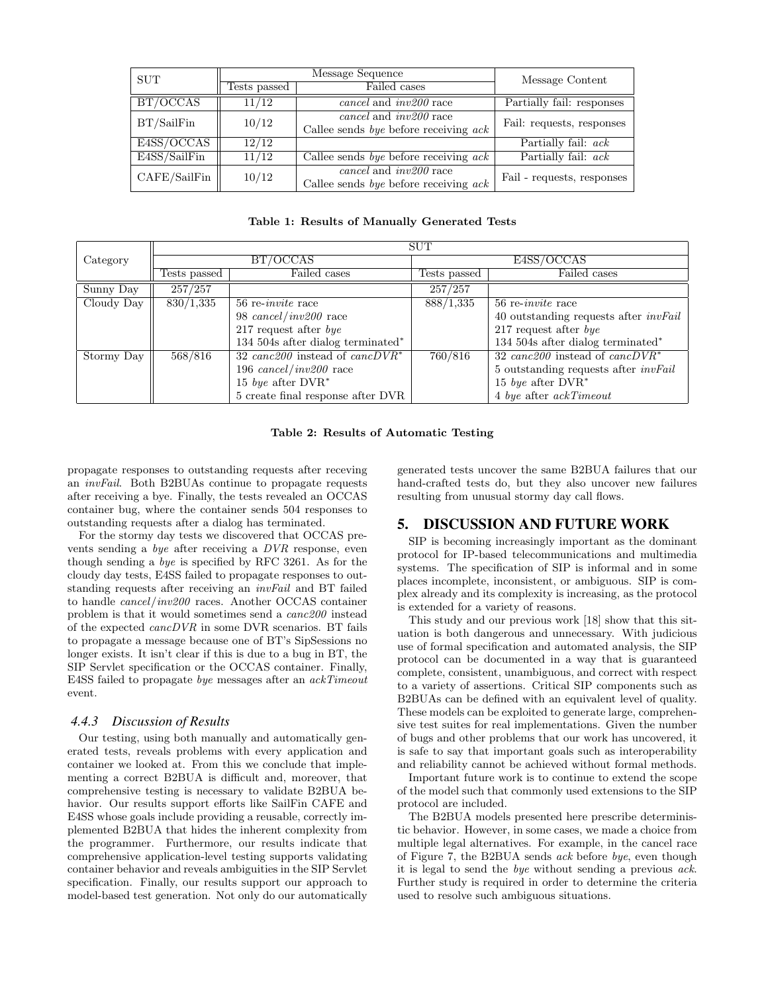| <b>SUT</b>   | Message Sequence |                                                                          | Message Content            |  |
|--------------|------------------|--------------------------------------------------------------------------|----------------------------|--|
|              | Tests passed     | Failed cases                                                             |                            |  |
| BT/OCCAS     | 11/12            | $cancel$ and $inv200$ race                                               | Partially fail: responses  |  |
| BT/SailFin   | 10/12            | cancel and <i>inv200</i> race<br>Callee sends bye before receiving $ack$ | Fail: requests, responses  |  |
| E4SS/OCCAS   | 12/12            |                                                                          | Partially fail: <i>ack</i> |  |
| E4SS/SailFin | 11/12            | Callee sends by before receiving $ack$                                   | Partially fail: <i>ack</i> |  |
| CAFE/SailFin | 10/12            | $cancel$ and $inv200$ race<br>Callee sends bye before receiving $ack$    | Fail - requests, responses |  |

Table 1: Results of Manually Generated Tests

|            | <b>SUT</b>   |                                       |              |                                                |  |
|------------|--------------|---------------------------------------|--------------|------------------------------------------------|--|
| Category   | BT/OCCAS     |                                       | E4SS/OCCAS   |                                                |  |
|            | Tests passed | Failed cases                          | Tests passed | Failed cases                                   |  |
| Sunny Day  | 257/257      |                                       | 257/257      |                                                |  |
| Cloudy Day | 830/1,335    | $56$ re- <i>invite</i> race           | 888/1,335    | $56$ re- <i>invite</i> race                    |  |
|            |              | 98 $cancel/inv200$ race               |              | $40$ outstanding requests after <i>invFail</i> |  |
|            |              | 217 request after $bye$               |              | 217 request after $bye$                        |  |
|            |              | 134 504s after dialog terminated $*$  |              | 134 504s after dialog terminated*              |  |
| Stormy Day | 568/816      | 32 canc $200$ instead of canc $DVR^*$ | 760/816      | 32 canc $\overline{200}$ instead of cancDVR*   |  |
|            |              | 196 $cancel/inv200$ race              |              | 5 outstanding requests after <i>invFail</i>    |  |
|            |              | 15 bye after $DVR^*$                  |              | 15 bye after $DVR^*$                           |  |
|            |              | 5 create final response after DVR     |              | $4 \; bye$ after $ackTimeout$                  |  |

#### Table 2: Results of Automatic Testing

propagate responses to outstanding requests after receving an invFail. Both B2BUAs continue to propagate requests after receiving a bye. Finally, the tests revealed an OCCAS container bug, where the container sends 504 responses to outstanding requests after a dialog has terminated.

For the stormy day tests we discovered that OCCAS prevents sending a bye after receiving a DVR response, even though sending a bye is specified by RFC 3261. As for the cloudy day tests, E4SS failed to propagate responses to outstanding requests after receiving an invFail and BT failed to handle cancel/inv200 races. Another OCCAS container problem is that it would sometimes send a canc200 instead of the expected cancDVR in some DVR scenarios. BT fails to propagate a message because one of BT's SipSessions no longer exists. It isn't clear if this is due to a bug in BT, the SIP Servlet specification or the OCCAS container. Finally, E4SS failed to propagate bye messages after an ackTimeout event.

#### *4.4.3 Discussion of Results*

Our testing, using both manually and automatically generated tests, reveals problems with every application and container we looked at. From this we conclude that implementing a correct B2BUA is difficult and, moreover, that comprehensive testing is necessary to validate B2BUA behavior. Our results support efforts like SailFin CAFE and E4SS whose goals include providing a reusable, correctly implemented B2BUA that hides the inherent complexity from the programmer. Furthermore, our results indicate that comprehensive application-level testing supports validating container behavior and reveals ambiguities in the SIP Servlet specification. Finally, our results support our approach to model-based test generation. Not only do our automatically generated tests uncover the same B2BUA failures that our hand-crafted tests do, but they also uncover new failures resulting from unusual stormy day call flows.

# 5. DISCUSSION AND FUTURE WORK

SIP is becoming increasingly important as the dominant protocol for IP-based telecommunications and multimedia systems. The specification of SIP is informal and in some places incomplete, inconsistent, or ambiguous. SIP is complex already and its complexity is increasing, as the protocol is extended for a variety of reasons.

This study and our previous work [18] show that this situation is both dangerous and unnecessary. With judicious use of formal specification and automated analysis, the SIP protocol can be documented in a way that is guaranteed complete, consistent, unambiguous, and correct with respect to a variety of assertions. Critical SIP components such as B2BUAs can be defined with an equivalent level of quality. These models can be exploited to generate large, comprehensive test suites for real implementations. Given the number of bugs and other problems that our work has uncovered, it is safe to say that important goals such as interoperability and reliability cannot be achieved without formal methods.

Important future work is to continue to extend the scope of the model such that commonly used extensions to the SIP protocol are included.

The B2BUA models presented here prescribe deterministic behavior. However, in some cases, we made a choice from multiple legal alternatives. For example, in the cancel race of Figure 7, the B2BUA sends ack before bye, even though it is legal to send the bye without sending a previous ack. Further study is required in order to determine the criteria used to resolve such ambiguous situations.